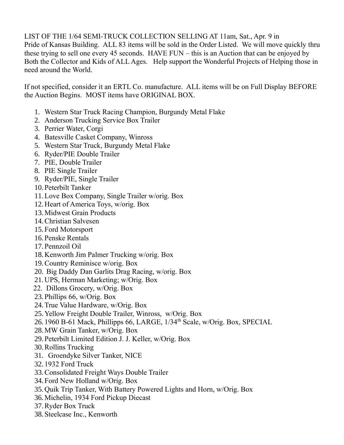LIST OF THE 1/64 SEMI-TRUCK COLLECTION SELLING AT 11am, Sat., Apr. 9 in Pride of Kansas Building. ALL 83 items will be sold in the Order Listed. We will move quickly thru these trying to sell one every 45 seconds. HAVE FUN – this is an Auction that can be enjoyed by Both the Collector and Kids of ALL Ages. Help support the Wonderful Projects of Helping those in need around the World.

If not specified, consider it an ERTL Co. manufacture. ALL items will be on Full Display BEFORE the Auction Begins. MOST items have ORIGINAL BOX.

- 1. Western Star Truck Racing Champion, Burgundy Metal Flake
- 2. Anderson Trucking Service Box Trailer
- 3. Perrier Water, Corgi
- 4. Batesville Casket Company, Winross
- 5. Western Star Truck, Burgundy Metal Flake
- 6. Ryder/PIE Double Trailer
- 7. PIE, Double Trailer
- 8. PIE Single Trailer
- 9. Ryder/PIE, Single Trailer
- 10.Peterbilt Tanker
- 11.Love Box Company, Single Trailer w/orig. Box
- 12.Heart of America Toys, w/orig. Box
- 13.Midwest Grain Products
- 14.Christian Salvesen
- 15.Ford Motorsport
- 16.Penske Rentals
- 17.Pennzoil Oil
- 18.Kenworth Jim Palmer Trucking w/orig. Box
- 19.Country Reminisce w/orig. Box
- 20. Big Daddy Dan Garlits Drag Racing, w/orig. Box
- 21.UPS, Herman Marketing; w/Orig. Box
- 22. Dillons Grocery, w/Orig. Box
- 23.Phillips 66, w/Orig. Box
- 24.True Value Hardware, w/Orig. Box
- 25.Yellow Freight Double Trailer, Winross, w/Orig. Box
- 26. 1960 B-61 Mack, Phillipps 66, LARGE, 1/34<sup>th</sup> Scale, w/Orig. Box, SPECIAL
- 28.MW Grain Tanker, w/Orig. Box
- 29.Peterbilt Limited Edition J. J. Keller, w/Orig. Box
- 30.Rollins Trucking
- 31. Groendyke Silver Tanker, NICE
- 32. 1932 Ford Truck
- 33.Consolidated Freight Ways Double Trailer
- 34.Ford New Holland w/Orig. Box
- 35.Quik Trip Tanker, With Battery Powered Lights and Horn, w/Orig. Box
- 36.Michelin, 1934 Ford Pickup Diecast
- 37.Ryder Box Truck
- 38.Steelcase Inc., Kenworth